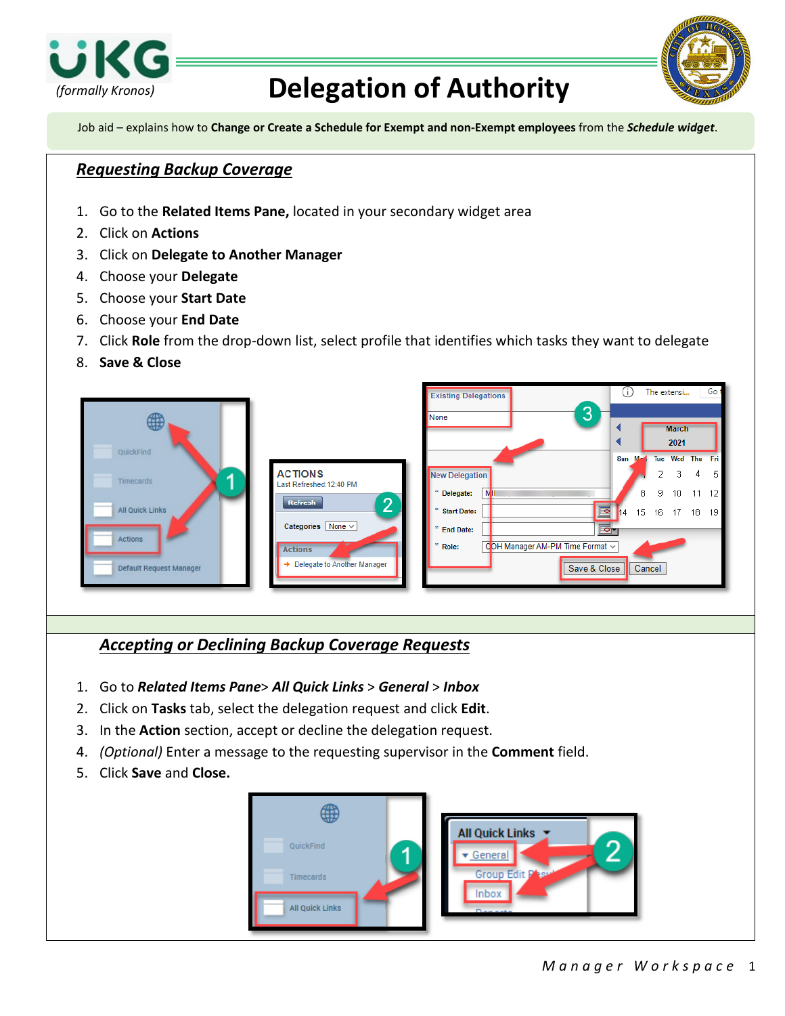

## *(formally Kronos)* **Delegation of Authority**



Job aid – explains how to **Change or Create a Schedule for Exempt and non-Exempt employees** from the *Schedule widget*.

## *Requesting Backup Coverage*

- 1. Go to the **Related Items Pane,** located in your secondary widget area
- 2. Click on **Actions**
- 3. Click on **Delegate to Another Manager**
- 4. Choose your **Delegate**
- 5. Choose your **Start Date**
- 6. Choose your **End Date**
- 7. Click **Role** from the drop-down list, select profile that identifies which tasks they want to delegate
- 8. **Save & Close**



## *Accepting or Declining Backup Coverage Requests*

- 1. Go to *Related Items Pane*> *All Quick Links* > *General* > *Inbox*
- 2. Click on **Tasks** tab, select the delegation request and click **Edit**.
- 3. In the **Action** section, accept or decline the delegation request.
- 4. *(Optional)* Enter a message to the requesting supervisor in the **Comment** field.
- 5. Click **Save** and **Close.**